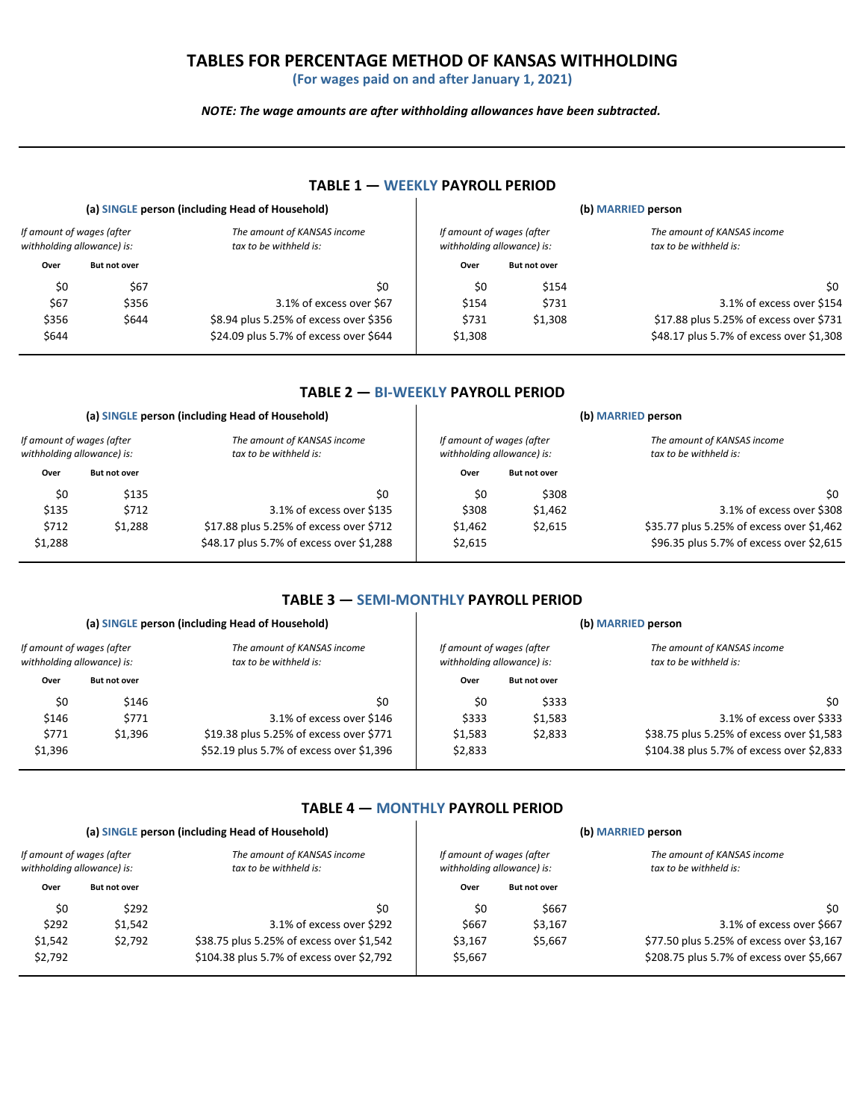## **TABLES FOR PERCENTAGE METHOD OF KANSAS WITHHOLDING**

**(For wages paid on and after January 1, 2021)**

*NOTE: The wage amounts are after withholding allowances have been subtracted.*

|                                                         |                     | (a) SINGLE person (including Head of Household)       | (b) MARRIED person                                      |                     |                                                       |
|---------------------------------------------------------|---------------------|-------------------------------------------------------|---------------------------------------------------------|---------------------|-------------------------------------------------------|
| If amount of wages (after<br>withholding allowance) is: |                     | The amount of KANSAS income<br>tax to be withheld is: | If amount of wages (after<br>withholding allowance) is: |                     | The amount of KANSAS income<br>tax to be withheld is: |
| Over                                                    | <b>But not over</b> |                                                       | Over                                                    | <b>But not over</b> |                                                       |
| \$0                                                     | \$67                | \$0                                                   | \$0                                                     | \$154               | \$0                                                   |
| \$67                                                    | \$356               | 3.1% of excess over \$67                              | \$154                                                   | \$731               | 3.1% of excess over \$154                             |
| \$356                                                   | \$644               | \$8.94 plus 5.25% of excess over \$356                | \$731                                                   | \$1,308             | \$17.88 plus 5.25% of excess over \$731               |
| \$644                                                   |                     | \$24.09 plus 5.7% of excess over \$644                | \$1,308                                                 |                     | \$48.17 plus 5.7% of excess over \$1,308              |

#### **TABLE 1 — WEEKLY PAYROLL PERIOD**

# **TABLE 2 — BI-WEEKLY PAYROLL PERIOD**

|                                                         |                     | (a) SINGLE person (including Head of Household)       | (b) MARRIED person |                                                         |                                                       |  |
|---------------------------------------------------------|---------------------|-------------------------------------------------------|--------------------|---------------------------------------------------------|-------------------------------------------------------|--|
| If amount of wages (after<br>withholding allowance) is: |                     | The amount of KANSAS income<br>tax to be withheld is: |                    | If amount of wages (after<br>withholding allowance) is: | The amount of KANSAS income<br>tax to be withheld is: |  |
| Over                                                    | <b>But not over</b> |                                                       | Over               | <b>But not over</b>                                     |                                                       |  |
| \$0                                                     | \$135               | \$0                                                   | \$0                | \$308                                                   | \$0                                                   |  |
| \$135                                                   | \$712               | 3.1% of excess over \$135                             | \$308              | \$1.462                                                 | 3.1% of excess over \$308                             |  |
| \$712                                                   | \$1.288             | \$17.88 plus 5.25% of excess over \$712               | \$1.462            | \$2,615                                                 | \$35.77 plus 5.25% of excess over \$1,462             |  |
| \$1,288                                                 |                     | \$48.17 plus 5.7% of excess over \$1,288              | \$2,615            |                                                         | \$96.35 plus 5.7% of excess over \$2,615              |  |

#### **TABLE 3 — SEMI-MONTHLY PAYROLL PERIOD**

|                                                         |                     | (a) SINGLE person (including Head of Household)       | (b) MARRIED person |                                                         |                                                       |
|---------------------------------------------------------|---------------------|-------------------------------------------------------|--------------------|---------------------------------------------------------|-------------------------------------------------------|
| If amount of wages (after<br>withholding allowance) is: |                     | The amount of KANSAS income<br>tax to be withheld is: |                    | If amount of wages (after<br>withholding allowance) is: | The amount of KANSAS income<br>tax to be withheld is: |
| Over                                                    | <b>But not over</b> |                                                       | Over               | <b>But not over</b>                                     |                                                       |
| \$0                                                     | \$146               | \$0                                                   | \$0                | \$333                                                   | \$0                                                   |
| \$146                                                   | \$771               | 3.1% of excess over \$146                             | \$333              | \$1,583                                                 | 3.1% of excess over \$333                             |
| \$771                                                   | \$1,396             | \$19.38 plus 5.25% of excess over \$771               | \$1.583            | \$2,833                                                 | \$38.75 plus 5.25% of excess over \$1,583             |
| \$1,396                                                 |                     | \$52.19 plus 5.7% of excess over \$1,396              | \$2,833            |                                                         | \$104.38 plus 5.7% of excess over \$2,833             |

#### **TABLE 4 — MONTHLY PAYROLL PERIOD**

| (b) MARRIED person                                    |                                                         | (a) SINGLE person (including Head of Household) |                                                       |                     |                                                         |  |
|-------------------------------------------------------|---------------------------------------------------------|-------------------------------------------------|-------------------------------------------------------|---------------------|---------------------------------------------------------|--|
| The amount of KANSAS income<br>tax to be withheld is: | If amount of wages (after<br>withholding allowance) is: |                                                 | The amount of KANSAS income<br>tax to be withheld is: |                     | If amount of wages (after<br>withholding allowance) is: |  |
|                                                       | <b>But not over</b>                                     | Over                                            |                                                       | <b>But not over</b> | Over                                                    |  |
| \$0                                                   | \$667                                                   | \$0                                             | \$0                                                   | \$292               | \$0                                                     |  |
| 3.1% of excess over \$667                             | \$3,167                                                 | \$667                                           | 3.1% of excess over \$292                             | \$1.542             | \$292                                                   |  |
| \$77.50 plus 5.25% of excess over \$3,167             | \$5,667                                                 | \$3,167                                         | \$38.75 plus 5.25% of excess over \$1,542             | \$2.792             | \$1,542                                                 |  |
| \$208.75 plus 5.7% of excess over \$5,667             |                                                         | \$5,667                                         | \$104.38 plus 5.7% of excess over \$2,792             |                     | \$2,792                                                 |  |